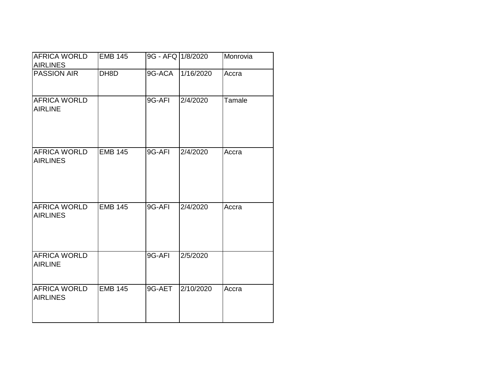| <b>AFRICA WORLD</b>                    | <b>EMB 145</b> | 9G - AFQ 1/8/2020 |           | Monrovia |
|----------------------------------------|----------------|-------------------|-----------|----------|
| <b>AIRLINES</b>                        |                |                   |           |          |
| <b>PASSION AIR</b>                     | DH8D           | 9G-ACA            | 1/16/2020 | Accra    |
| <b>AFRICA WORLD</b><br><b>AIRLINE</b>  |                | 9G-AFI            | 2/4/2020  | Tamale   |
| <b>AFRICA WORLD</b><br><b>AIRLINES</b> | <b>EMB 145</b> | 9G-AFI            | 2/4/2020  | Accra    |
| <b>AFRICA WORLD</b><br><b>AIRLINES</b> | <b>EMB 145</b> | 9G-AFI            | 2/4/2020  | Accra    |
| <b>AFRICA WORLD</b><br><b>AIRLINE</b>  |                | 9G-AFI            | 2/5/2020  |          |
| AFRICA WORLD<br><b>AIRLINES</b>        | EMB $145$      | 9G-AET            | 2/10/2020 | Accra    |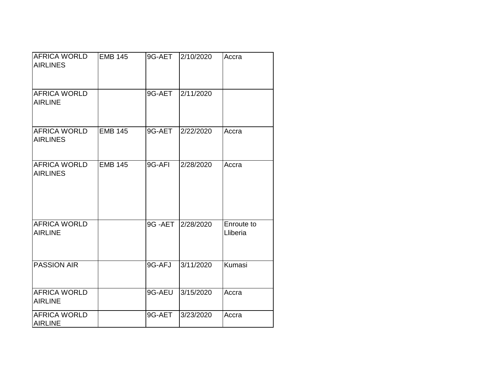| AFRICA WORLD<br><b>AIRLINES</b>        | <b>EMB 145</b> |        | 9G-AET 2/10/2020 | Accra                  |
|----------------------------------------|----------------|--------|------------------|------------------------|
| <b>AFRICA WORLD</b><br><b>AIRLINE</b>  |                | 9G-AET | 2/11/2020        |                        |
| AFRICA WORLD<br><b>AIRLINES</b>        | <b>EMB 145</b> | 9G-AET | 2/22/2020        | Accra                  |
| <b>AFRICA WORLD</b><br><b>AIRLINES</b> | <b>EMB 145</b> | 9G-AFI | 2/28/2020        | Accra                  |
| <b>AFRICA WORLD</b><br><b>AIRLINE</b>  |                | 9G-AET | 2/28/2020        | Enroute to<br>Lliberia |
| <b>PASSION AIR</b>                     |                | 9G-AFJ | 3/11/2020        | Kumasi                 |
| <b>AFRICA WORLD</b><br><b>AIRLINE</b>  |                | 9G-AEU | 3/15/2020        | Accra                  |
| <b>AFRICA WORLD</b><br><b>AIRLINE</b>  |                | 9G-AET | 3/23/2020        | Accra                  |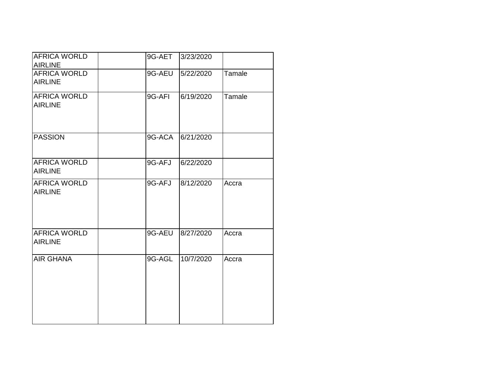| <b>AFRICA WORLD</b><br><b>AIRLINE</b> | 9G-AET | 3/23/2020 |        |
|---------------------------------------|--------|-----------|--------|
| <b>AFRICA WORLD</b><br><b>AIRLINE</b> | 9G-AEU | 5/22/2020 | Tamale |
| AFRICA WORLD<br><b>AIRLINE</b>        | 9G-AFI | 6/19/2020 | Tamale |
| <b>PASSION</b>                        | 9G-ACA | 6/21/2020 |        |
| <b>AFRICA WORLD</b><br><b>AIRLINE</b> | 9G-AFJ | 6/22/2020 |        |
| <b>AFRICA WORLD</b><br><b>AIRLINE</b> | 9G-AFJ | 8/12/2020 | Accra  |
| <b>AFRICA WORLD</b><br><b>AIRLINE</b> | 9G-AEU | 8/27/2020 | Accra  |
| <b>AIR GHANA</b>                      | 9G-AGL | 10/7/2020 | Accra  |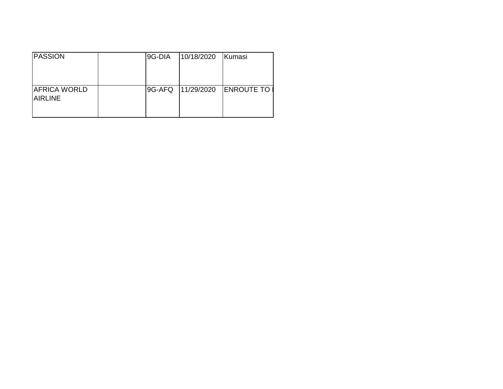| <b>PASSION</b>                        | 9G-DIA | 10/18/2020 | Kumasi            |
|---------------------------------------|--------|------------|-------------------|
| <b>AFRICA WORLD</b><br><b>AIRLINE</b> | 9G-AFQ | 11/29/2020 | <b>ENROUTE TO</b> |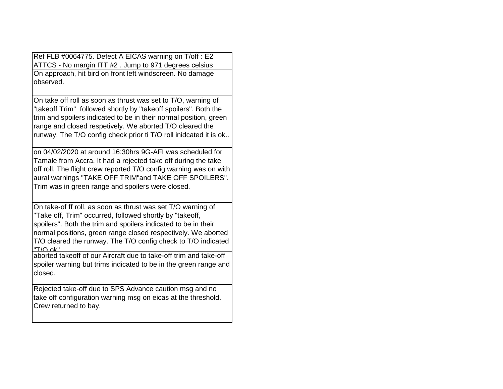Ref FLB #0064775. Defect A EICAS warning on T/off : E2 ATTCS - No margin ITT #2 . Jump to 971 degrees celsius On approach, hit bird on front left windscreen. No damage observed.

On take off roll as soon as thrust was set to T/O, warning of "takeoff Trim" followed shortly by "takeoff spoilers". Both the trim and spoilers indicated to be in their normal position, green range and closed respetively. We aborted T/O cleared the runway. The T/O config check prior ti T/O roll inidcated it is ok..

on 04/02/2020 at around 16:30hrs 9G-AFI was scheduled for Tamale from Accra. It had a rejected take off during the take off roll. The flight crew reported T/O config warning was on with aural warnings "TAKE OFF TRIM"and TAKE OFF SPOILERS". Trim was in green range and spoilers were closed.

On take-of ff roll, as soon as thrust was set T/O warning of "Take off, Trim" occurred, followed shortly by "takeoff, spoilers". Both the trim and spoilers indicated to be in their normal positions, green range closed respectively. We aborted T/O cleared the runway. The T/O config check to T/O indicated "T/O ok". aborted takeoff of our Aircraft due to take-off trim and take-off

spoiler warning but trims indicated to be in the green range and closed.

Rejected take-off due to SPS Advance caution msg and no take off configuration warning msg on eicas at the threshold. Crew returned to bay.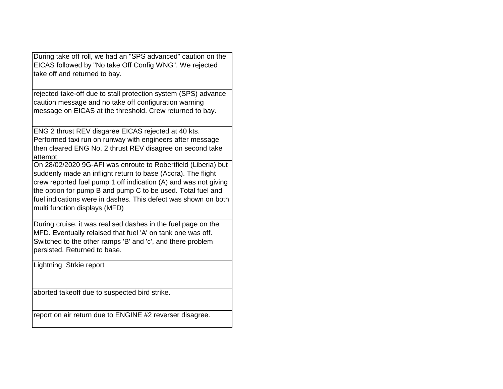During take off roll, we had an "SPS advanced" caution on the EICAS followed by "No take Off Config WNG". We rejected take off and returned to bay.

rejected take-off due to stall protection system (SPS) advance caution message and no take off configuration warning message on EICAS at the threshold. Crew returned to bay.

ENG 2 thrust REV disgaree EICAS rejected at 40 kts. Performed taxi run on runway with engineers after message then cleared ENG No. 2 thrust REV disagree on second take attempt.

On 28/02/2020 9G-AFI was enroute to Robertfield (Liberia) but suddenly made an inflight return to base (Accra). The flight crew reported fuel pump 1 off indication (A) and was not giving the option for pump B and pump C to be used. Total fuel and fuel indications were in dashes. This defect was shown on both multi function displays (MFD)

During cruise, it was realised dashes in the fuel page on the MFD. Eventually relaised that fuel 'A' on tank one was off. Switched to the other ramps 'B' and 'c', and there problem persisted. Returned to base.

Lightning Strkie report

aborted takeoff due to suspected bird strike.

report on air return due to ENGINE #2 reverser disagree.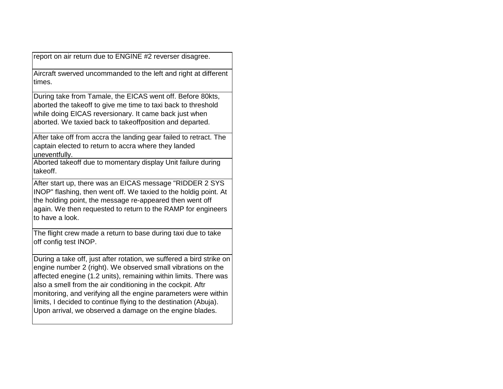report on air return due to ENGINE #2 reverser disagree.

Aircraft swerved uncommanded to the left and right at different times.

During take from Tamale, the EICAS went off. Before 80kts, aborted the takeoff to give me time to taxi back to threshold while doing EICAS reversionary. It came back just when aborted. We taxied back to takeoffposition and departed.

After take off from accra the landing gear failed to retract. The captain elected to return to accra where they landed uneventfully.

Aborted takeoff due to momentary display Unit failure during takeoff.

After start up, there was an EICAS message "RIDDER 2 SYS INOP" flashing, then went off. We taxied to the holdig point. At the holding point, the message re-appeared then went off again. We then requested to return to the RAMP for engineers to have a look.

The flight crew made a return to base during taxi due to take off config test INOP.

During a take off, just after rotation, we suffered a bird strike on engine number 2 (right). We observed small vibrations on the affected enegine (1.2 units), remaining within limits. There was also a smell from the air conditioning in the cockpit. Aftr monitoring, and verifying all the engine parameters were within limits, I decided to continue flying to the destination (Abuja). Upon arrival, we observed a damage on the engine blades.